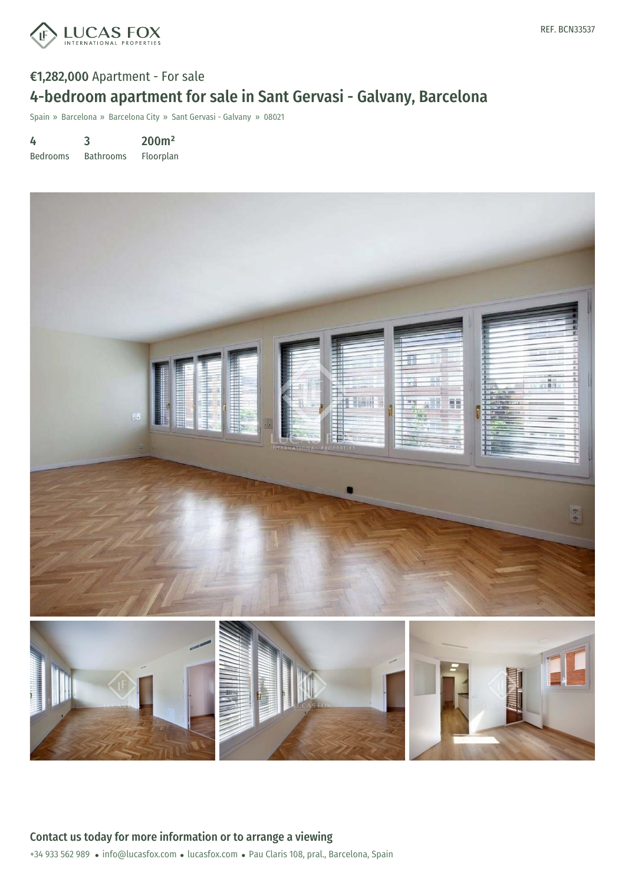

## €1,282,000 Apartment - For sale 4-bedroom apartment for sale in Sant Gervasi - Galvany, Barcelona

Spain » Barcelona » Barcelona City » Sant Gervasi - Galvany » 08021

4 3 200m²

Bedrooms Bathrooms Floorplan

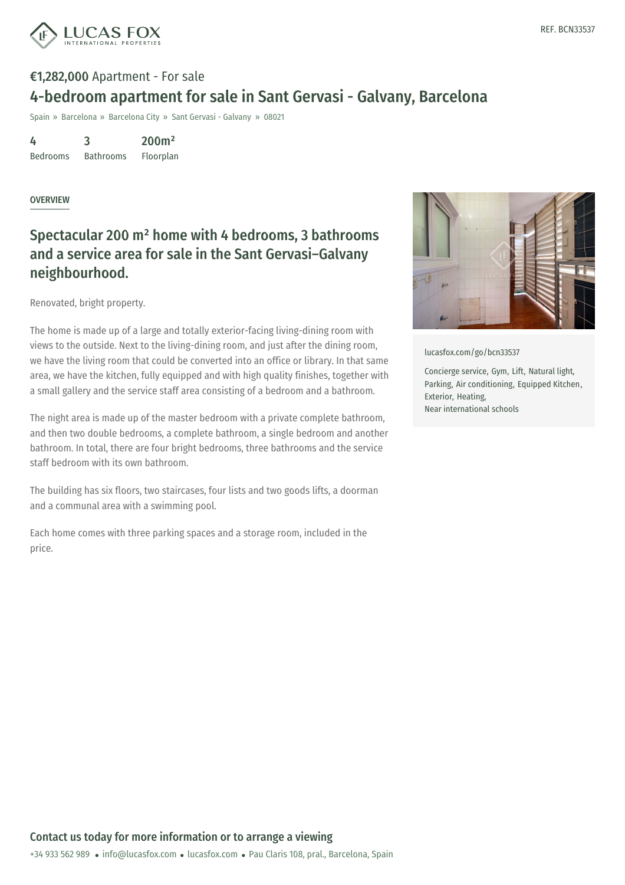

# €1,282,000 Apartment - For sale 4-bedroom apartment for sale in Sant Gervasi - Galvany, Barcelona

Spain » Barcelona » Barcelona City » Sant Gervasi - Galvany » 08021

4 Bedrooms 3 Bathrooms 200m² Floorplan

#### **OVERVIEW**

### Spectacular 200 m² home with 4 bedrooms, 3 bathrooms and a service area for sale in the Sant Gervasi–Galvany neighbourhood.

Renovated, bright property.

The home is made up of a large and totally exterior-facing living-dining room with views to the outside. Next to the living-dining room, and just after the dining room, we have the living room that could be converted into an office or library. In that same area, we have the kitchen, fully equipped and with high quality finishes, together with a small gallery and the service staff area consisting of a bedroom and a bathroom.

The night area is made up of the master bedroom with a private complete bathroom, and then two double bedrooms, a complete bathroom, a single bedroom and another bathroom. In total, there are four bright bedrooms, three bathrooms and the service staff bedroom with its own bathroom.

The building has six floors, two staircases, four lists and two goods lifts, a doorman and a communal area with a swimming pool.

Each home comes with three parking spaces and a storage room, included in the price.



[lucasfox.com/go/bcn33537](https://www.lucasfox.com/go/bcn33537)

Concierge service, Gym, Lift, Natural light, Parking, Air conditioning, Equipped Kitchen, Exterior, Heating, Near international schools